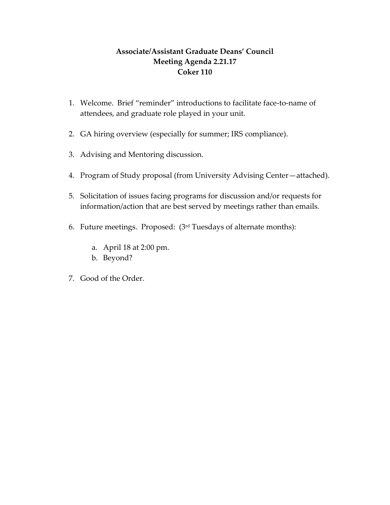## **Associate/Assistant Graduate Deans' Council Meeting Agenda 2.21.17 Coker 110**

- 1. Welcome. Brief "reminder" introductions to facilitate face-to-name of attendees, and graduate role played in your unit.
- 2. GA hiring overview (especially for summer; IRS compliance).
- 3. Advising and Mentoring discussion.
- 4. Program of Study proposal (from University Advising Center—attached).
- 5. Solicitation of issues facing programs for discussion and/or requests for information/action that are best served by meetings rather than emails.
- 6. Future meetings. Proposed: (3rd Tuesdays of alternate months):
	- a. April 18 at 2:00 pm.
	- b. Beyond?
- 7. Good of the Order.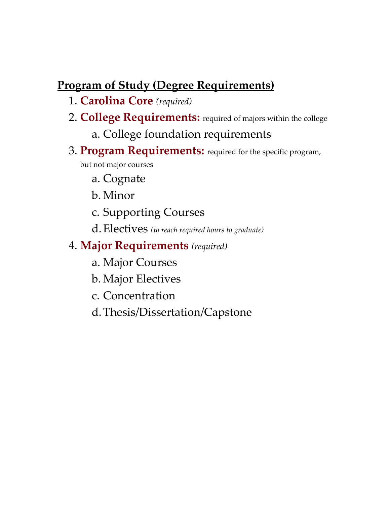## **Program of Study (Degree Requirements)**

- 1. **Carolina Core** *(required)*
- 2. **College Requirements:** required of majors within the college
	- a. College foundation requirements
- 3. **Program Requirements:** required for the specific program, but not major courses
	- a. Cognate
	- b. Minor
	- c. Supporting Courses
	- d.Electives *(to reach required hours to graduate)*

## 4. **Major Requirements** *(required)*

- a. Major Courses
- b. Major Electives
- c. Concentration
- d.Thesis/Dissertation/Capstone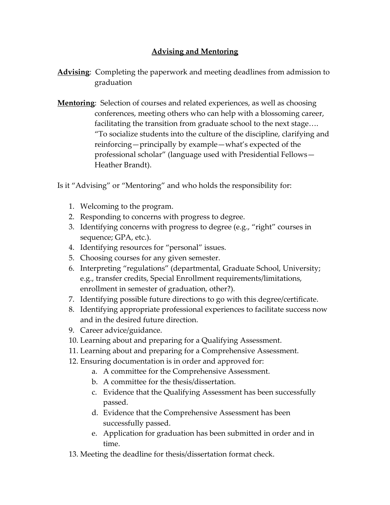## **Advising and Mentoring**

- **Advising**: Completing the paperwork and meeting deadlines from admission to graduation
- **Mentoring**: Selection of courses and related experiences, as well as choosing conferences, meeting others who can help with a blossoming career, facilitating the transition from graduate school to the next stage…. "To socialize students into the culture of the discipline, clarifying and reinforcing—principally by example—what's expected of the professional scholar" (language used with Presidential Fellows— Heather Brandt).

Is it "Advising" or "Mentoring" and who holds the responsibility for:

- 1. Welcoming to the program.
- 2. Responding to concerns with progress to degree.
- 3. Identifying concerns with progress to degree (e.g., "right" courses in sequence; GPA, etc.).
- 4. Identifying resources for "personal" issues.
- 5. Choosing courses for any given semester.
- 6. Interpreting "regulations" (departmental, Graduate School, University; e.g., transfer credits, Special Enrollment requirements/limitations, enrollment in semester of graduation, other?).
- 7. Identifying possible future directions to go with this degree/certificate.
- 8. Identifying appropriate professional experiences to facilitate success now and in the desired future direction.
- 9. Career advice/guidance.
- 10. Learning about and preparing for a Qualifying Assessment.
- 11. Learning about and preparing for a Comprehensive Assessment.
- 12. Ensuring documentation is in order and approved for:
	- a. A committee for the Comprehensive Assessment.
	- b. A committee for the thesis/dissertation.
	- c. Evidence that the Qualifying Assessment has been successfully passed.
	- d. Evidence that the Comprehensive Assessment has been successfully passed.
	- e. Application for graduation has been submitted in order and in time.
- 13. Meeting the deadline for thesis/dissertation format check.